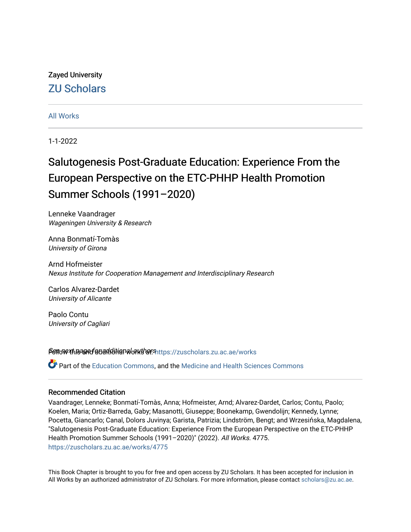# Zayed University [ZU Scholars](https://zuscholars.zu.ac.ae/)

# [All Works](https://zuscholars.zu.ac.ae/works)

1-1-2022

# Salutogenesis Post-Graduate Education: Experience From the European Perspective on the ETC-PHHP Health Promotion Summer Schools (1991–2020)

Lenneke Vaandrager Wageningen University & Research

Anna Bonmatí-Tomàs University of Girona

Arnd Hofmeister Nexus Institute for Cooperation Management and Interdisciplinary Research

Carlos Alvarez-Dardet University of Alicante

Paolo Contu University of Cagliari

Settow the and detail ditional authors that so response and acae/works

Part of the [Education Commons](http://network.bepress.com/hgg/discipline/784?utm_source=zuscholars.zu.ac.ae%2Fworks%2F4775&utm_medium=PDF&utm_campaign=PDFCoverPages), and the [Medicine and Health Sciences Commons](http://network.bepress.com/hgg/discipline/648?utm_source=zuscholars.zu.ac.ae%2Fworks%2F4775&utm_medium=PDF&utm_campaign=PDFCoverPages) 

## Recommended Citation

Vaandrager, Lenneke; Bonmatí-Tomàs, Anna; Hofmeister, Arnd; Alvarez-Dardet, Carlos; Contu, Paolo; Koelen, Maria; Ortiz-Barreda, Gaby; Masanotti, Giuseppe; Boonekamp, Gwendolijn; Kennedy, Lynne; Pocetta, Giancarlo; Canal, Dolors Juvinya; Garista, Patrizia; Lindström, Bengt; and Wrzesińska, Magdalena, "Salutogenesis Post-Graduate Education: Experience From the European Perspective on the ETC-PHHP Health Promotion Summer Schools (1991–2020)" (2022). All Works. 4775. [https://zuscholars.zu.ac.ae/works/4775](https://zuscholars.zu.ac.ae/works/4775?utm_source=zuscholars.zu.ac.ae%2Fworks%2F4775&utm_medium=PDF&utm_campaign=PDFCoverPages)

This Book Chapter is brought to you for free and open access by ZU Scholars. It has been accepted for inclusion in All Works by an authorized administrator of ZU Scholars. For more information, please contact [scholars@zu.ac.ae.](mailto:scholars@zu.ac.ae)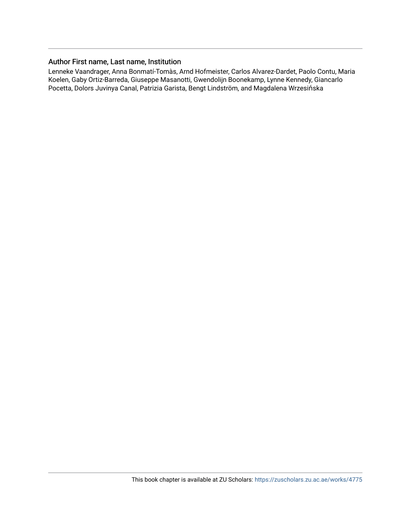# Author First name, Last name, Institution

Lenneke Vaandrager, Anna Bonmatí-Tomàs, Arnd Hofmeister, Carlos Alvarez-Dardet, Paolo Contu, Maria Koelen, Gaby Ortiz-Barreda, Giuseppe Masanotti, Gwendolijn Boonekamp, Lynne Kennedy, Giancarlo Pocetta, Dolors Juvinya Canal, Patrizia Garista, Bengt Lindström, and Magdalena Wrzesińska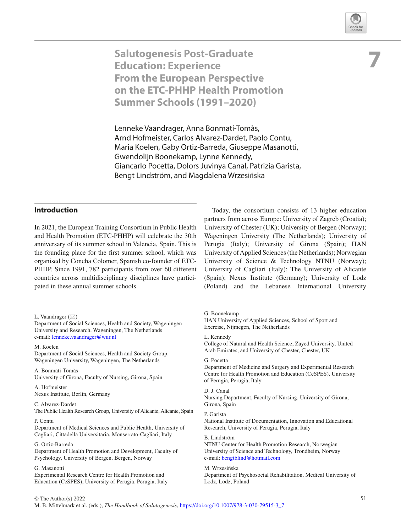

**7**

**Salutogenesis Post-Graduate Education: Experience From the European Perspective on the ETC-PHHP Health Promotion Summer Schools (1991–2020)**

Lenneke Vaandrager, Anna Bonmatí-Tomàs, Arnd Hofmeister, Carlos Alvarez-Dardet, Paolo Contu, Maria Koelen, Gaby Ortiz-Barreda, Giuseppe Masanotti, Gwendolijn Boonekamp, Lynne Kennedy, Giancarlo Pocetta, Dolors Juvinya Canal, Patrizia Garista, Bengt Lindström, and Magdalena Wrzesińska

### **Introduction**

In 2021, the European Training Consortium in Public Health and Health Promotion (ETC-PHHP) will celebrate the 30th anniversary of its summer school in Valencia, Spain. This is the founding place for the frst summer school, which was organised by Concha Colomer, Spanish co-founder of ETC-PHHP. Since 1991, 782 participants from over 60 different countries across multidisciplinary disciplines have participated in these annual summer schools.

L. Vaandrager  $(\boxtimes)$ 

M. Koelen

Department of Social Sciences, Health and Society Group, Wageningen University, Wageningen, The Netherlands

A. Bonmatí-Tomàs University of Girona, Faculty of Nursing, Girona, Spain

A. Hofmeister Nexus Institute, Berlin, Germany

C. Alvarez-Dardet The Public Health Research Group, University of Alicante, Alicante, Spain

P. Contu

Department of Medical Sciences and Public Health, University of Cagliari, Cittadella Universitaria, Monserrato-Cagliari, Italy

G. Ortiz-Barreda

Department of Health Promotion and Development, Faculty of Psychology, University of Bergen, Bergen, Norway

G. Masanotti

Experimental Research Centre for Health Promotion and Education (CeSPES), University of Perugia, Perugia, Italy

Today, the consortium consists of 13 higher education partners from across Europe: University of Zagreb (Croatia); University of Chester (UK); University of Bergen (Norway); Wageningen University (The Netherlands); University of Perugia (Italy); University of Girona (Spain); HAN University of Applied Sciences (the Netherlands); Norwegian University of Science & Technology NTNU (Norway); University of Cagliari (Italy); The University of Alicante (Spain); Nexus Institute (Germany); University of Lodz (Poland) and the Lebanese International University

#### G. Boonekamp

HAN University of Applied Sciences, School of Sport and Exercise, Nijmegen, The Netherlands

L. Kennedy

College of Natural and Health Science, Zayed University, United Arab Emirates, and University of Chester, Chester, UK

#### G. Pocetta

Department of Medicine and Surgery and Experimental Research Centre for Health Promotion and Education (CeSPES), University of Perugia, Perugia, Italy

#### D. J. Canal

Nursing Department, Faculty of Nursing, University of Girona, Girona, Spain

#### P. Garista

National Institute of Documentation, Innovation and Educational Research, University of Perugia, Perugia, Italy

B. Lindström NTNU Center for Health Promotion Research, Norwegian University of Science and Technology, Trondheim, Norway e-mail[: bengtblind@hotmail.com](mailto:bengtblind@hotmail.com)

#### M. Wrzesińska Department of Psychosocial Rehabilitation, Medical University of Lodz, Lodz, Poland

Department of Social Sciences, Health and Society, Wageningen University and Research, Wageningen, The Netherlands e-mail[: lenneke.vaandrager@wur.nl](mailto:lenneke.vaandrager@wur.nl)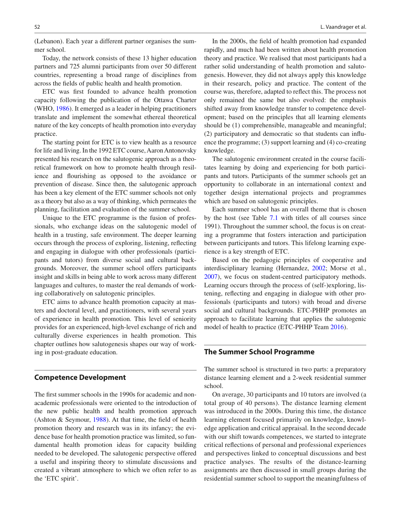(Lebanon). Each year a different partner organises the summer school.

Today, the network consists of these 13 higher education partners and 725 alumni participants from over 50 different countries, representing a broad range of disciplines from across the felds of public health and health promotion.

ETC was frst founded to advance health promotion capacity following the publication of the Ottawa Charter (WHO, [1986\)](#page-7-0). It emerged as a leader in helping practitioners translate and implement the somewhat ethereal theoretical nature of the key concepts of health promotion into everyday practice.

The starting point for ETC is to view health as a resource for life and living. In the 1992 ETC course, Aaron Antonovsky presented his research on the salutogenic approach as a theoretical framework on how to promote health through resilience and fourishing as opposed to the avoidance or prevention of disease. Since then, the salutogenic approach has been a key element of the ETC summer schools not only as a theory but also as a way of thinking, which permeates the planning, facilitation and evaluation of the summer school.

Unique to the ETC programme is the fusion of professionals, who exchange ideas on the salutogenic model of health in a trusting, safe environment. The deeper learning occurs through the process of exploring, listening, refecting and engaging in dialogue with other professionals (participants and tutors) from diverse social and cultural backgrounds. Moreover, the summer school offers participants insight and skills in being able to work across many different languages and cultures, to master the real demands of working collaboratively on salutogenic principles.

ETC aims to advance health promotion capacity at masters and doctoral level, and practitioners, with several years of experience in health promotion. This level of seniority provides for an experienced, high-level exchange of rich and culturally diverse experiences in health promotion. This chapter outlines how salutogenesis shapes our way of working in post-graduate education.

#### **Competence Development**

The frst summer schools in the 1990s for academic and nonacademic professionals were oriented to the introduction of the new public health and health promotion approach (Ashton & Seymour, [1988\)](#page-6-0). At that time, the feld of health promotion theory and research was in its infancy; the evidence base for health promotion practice was limited, so fundamental health promotion ideas for capacity building needed to be developed. The salutogenic perspective offered a useful and inspiring theory to stimulate discussions and created a vibrant atmosphere to which we often refer to as the 'ETC spirit'.

In the 2000s, the feld of health promotion had expanded rapidly, and much had been written about health promotion theory and practice. We realised that most participants had a rather solid understanding of health promotion and salutogenesis. However, they did not always apply this knowledge in their research, policy and practice. The content of the course was, therefore, adapted to refect this. The process not only remained the same but also evolved: the emphasis shifted away from knowledge transfer to competence development; based on the principles that all learning elements should be (1) comprehensible, manageable and meaningful; (2) participatory and democratic so that students can infuence the programme; (3) support learning and (4) co-creating

The salutogenic environment created in the course facilitates learning by doing and experiencing for both participants and tutors. Participants of the summer schools get an opportunity to collaborate in an international context and together design international projects and programmes which are based on salutogenic principles.

knowledge.

Each summer school has an overall theme that is chosen by the host (see Table [7.1](#page-4-0) with titles of all courses since 1991). Throughout the summer school, the focus is on creating a programme that fosters interaction and participation between participants and tutors. This lifelong learning experience is a key strength of ETC.

Based on the pedagogic principles of cooperative and interdisciplinary learning (Hernandez, [2002;](#page-7-1) Morse et al., [2007](#page-7-2)), we focus on student-centred participatory methods. Learning occurs through the process of (self-)exploring, listening, refecting and engaging in dialogue with other professionals (participants and tutors) with broad and diverse social and cultural backgrounds. ETC-PHHP promotes an approach to facilitate learning that applies the salutogenic model of health to practice (ETC-PHHP Team [2016](#page-7-3)).

#### **The Summer School Programme**

The summer school is structured in two parts: a preparatory distance learning element and a 2-week residential summer school.

On average, 30 participants and 10 tutors are involved (a total group of 40 persons). The distance learning element was introduced in the 2000s. During this time, the distance learning element focused primarily on knowledge, knowledge application and critical appraisal. In the second decade with our shift towards competences, we started to integrate critical refections of personal and professional experiences and perspectives linked to conceptual discussions and best practice analyses. The results of the distance-learning assignments are then discussed in small groups during the residential summer school to support the meaningfulness of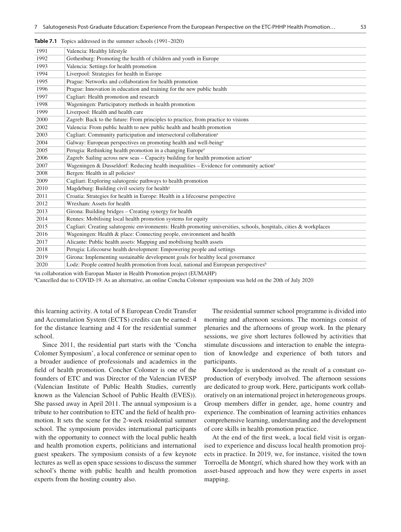| 1991 | Valencia: Healthy lifestyle                                                                                         |
|------|---------------------------------------------------------------------------------------------------------------------|
| 1992 | Gothenburg: Promoting the health of children and youth in Europe                                                    |
| 1993 | Valencia: Settings for health promotion                                                                             |
| 1994 | Liverpool: Strategies for health in Europe                                                                          |
| 1995 | Prague: Networks and collaboration for health promotion                                                             |
| 1996 | Prague: Innovation in education and training for the new public health                                              |
| 1997 | Cagliari: Health promotion and research                                                                             |
| 1998 | Wageningen: Participatory methods in health promotion                                                               |
| 1999 | Liverpool: Health and health care                                                                                   |
| 2000 | Zagreb: Back to the future: From principles to practice, from practice to visions                                   |
| 2002 | Valencia: From public health to new public health and health promotion                                              |
| 2003 | Cagliari: Community participation and intersectoral collaboration <sup>a</sup>                                      |
| 2004 | Galway: European perspectives on promoting health and well-being <sup>a</sup>                                       |
| 2005 | Perugia: Rethinking health promotion in a changing Europe <sup>a</sup>                                              |
| 2006 | Zagreb: Sailing across new seas - Capacity building for health promotion action <sup>a</sup>                        |
| 2007 | Wageningen & Dusseldorf: Reducing health inequalities $-$ Evidence for community action <sup>a</sup>                |
| 2008 | Bergen: Health in all policies <sup>a</sup>                                                                         |
| 2009 | Cagliari: Exploring salutogenic pathways to health promotion                                                        |
| 2010 | Magdeburg: Building civil society for health <sup>a</sup>                                                           |
| 2011 | Croatia: Strategies for health in Europe: Health in a lifecourse perspective                                        |
| 2012 | Wrexham: Assets for health                                                                                          |
| 2013 | Girona: Building bridges – Creating synergy for health                                                              |
| 2014 | Rennes: Mobilising local health promotion systems for equity                                                        |
| 2015 | Cagliari: Creating salutogenic environments: Health promoting universities, schools, hospitals, cities & workplaces |
| 2016 | Wageningen: Health & place: Connecting people, environment and health                                               |
| 2017 | Alicante: Public health assets: Mapping and mobilising health assets                                                |
| 2018 | Perugia: Lifecourse health development: Empowering people and settings                                              |
| 2019 | Girona: Implementing sustainable development goals for healthy local governance                                     |
| 2020 | Lodz: People centred health promotion from local, national and European perspectives <sup>b</sup>                   |
|      |                                                                                                                     |

<span id="page-4-0"></span>**Table 7.1** Topics addressed in the summer schools (1991–2020)

ain collaboration with Europan Master in Health Promotion project (EUMAHP)

b Cancelled due to COVID-19. As an alternative, an online Concha Colomer symposium was held on the 20th of July 2020

this learning activity. A total of 8 European Credit Transfer and Accumulation System (ECTS) credits can be earned: 4 for the distance learning and 4 for the residential summer school.

Since 2011, the residential part starts with the 'Concha Colomer Symposium', a local conference or seminar open to a broader audience of professionals and academics in the feld of health promotion. Concher Colomer is one of the founders of ETC and was Director of the Valencian IVESP (Valencian Institute of Public Health Studies, currently known as the Valencian School of Public Health (EVES)). She passed away in April 2011. The annual symposium is a tribute to her contribution to ETC and the feld of health promotion. It sets the scene for the 2-week residential summer school. The symposium provides international participants with the opportunity to connect with the local public health and health promotion experts, politicians and international guest speakers. The symposium consists of a few keynote lectures as well as open space sessions to discuss the summer school's theme with public health and health promotion experts from the hosting country also.

The residential summer school programme is divided into morning and afternoon sessions. The mornings consist of plenaries and the afternoons of group work. In the plenary sessions, we give short lectures followed by activities that stimulate discussions and interaction to enable the integration of knowledge and experience of both tutors and participants.

Knowledge is understood as the result of a constant coproduction of everybody involved. The afternoon sessions are dedicated to group work. Here, participants work collaboratively on an international project in heterogeneous groups. Group members differ in gender, age, home country and experience. The combination of learning activities enhances comprehensive learning, understanding and the development of core skills in health promotion practice.

At the end of the frst week, a local feld visit is organised to experience and discuss local health promotion projects in practice. In 2019, we, for instance, visited the town Torroella de Montgrí, which shared how they work with an asset-based approach and how they were experts in asset mapping.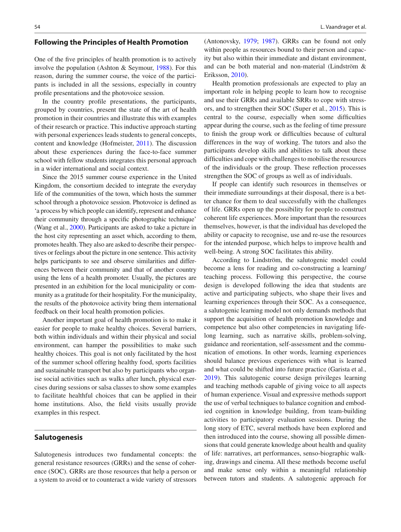#### **Following the Principles of Health Promotion**

One of the fve principles of health promotion is to actively involve the population (Ashton & Seymour, [1988\)](#page-6-0). For this reason, during the summer course, the voice of the participants is included in all the sessions, especially in country profle presentations and the photovoice session.

In the country profle presentations, the participants, grouped by countries, present the state of the art of health promotion in their countries and illustrate this with examples of their research or practice. This inductive approach starting with personal experiences leads students to general concepts, content and knowledge (Hofmeister, [2011](#page-7-4)). The discussion about these experiences during the face-to-face summer school with fellow students integrates this personal approach in a wider international and social context.

Since the 2015 summer course experience in the United Kingdom, the consortium decided to integrate the everyday life of the communities of the town, which hosts the summer school through a photovoice session. Photovoice is defned as 'a process by which people can identify, represent and enhance their community through a specifc photographic technique' (Wang et al., [2000](#page-7-5)). Participants are asked to take a picture in the host city representing an asset which, according to them, promotes health. They also are asked to describe their perspectives or feelings about the picture in one sentence. This activity helps participants to see and observe similarities and differences between their community and that of another country using the lens of a health promoter. Usually, the pictures are presented in an exhibition for the local municipality or community as a gratitude for their hospitality. For the municipality, the results of the photovoice activity bring them international feedback on their local health promotion policies.

Another important goal of health promotion is to make it easier for people to make healthy choices. Several barriers, both within individuals and within their physical and social environment, can hamper the possibilities to make such healthy choices. This goal is not only facilitated by the host of the summer school offering healthy food, sports facilities and sustainable transport but also by participants who organise social activities such as walks after lunch, physical exercises during sessions or salsa classes to show some examples to facilitate healthful choices that can be applied in their home institutions. Also, the feld visits usually provide examples in this respect.

#### **Salutogenesis**

Salutogenesis introduces two fundamental concepts: the general resistance resources (GRRs) and the sense of coherence (SOC). GRRs are those resources that help a person or a system to avoid or to counteract a wide variety of stressors

(Antonovsky, [1979;](#page-6-1) [1987](#page-6-2)). GRRs can be found not only within people as resources bound to their person and capacity but also within their immediate and distant environment, and can be both material and non-material (Lindström & Eriksson, [2010](#page-7-6)).

Health promotion professionals are expected to play an important role in helping people to learn how to recognise and use their GRRs and available SRRs to cope with stressors, and to strengthen their SOC (Super et al., [2015\)](#page-7-7). This is central to the course, especially when some diffculties appear during the course, such as the feeling of time pressure to fnish the group work or diffculties because of cultural differences in the way of working. The tutors and also the participants develop skills and abilities to talk about these diffculties and cope with challenges to mobilise the resources of the individuals or the group. These refection processes strengthen the SOC of groups as well as of individuals.

If people can identify such resources in themselves or their immediate surroundings at their disposal, there is a better chance for them to deal successfully with the challenges of life. GRRs open up the possibility for people to construct coherent life experiences. More important than the resources themselves, however, is that the individual has developed the ability or capacity to recognise, use and re-use the resources for the intended purpose, which helps to improve health and well-being. A strong SOC facilitates this ability.

According to Lindström, the salutogenic model could become a lens for reading and co-constructing a learning/ teaching process. Following this perspective, the course design is developed following the idea that students are active and participating subjects, who shape their lives and learning experiences through their SOC. As a consequence, a salutogenic learning model not only demands methods that support the acquisition of health promotion knowledge and competence but also other competencies in navigating lifelong learning, such as narrative skills, problem-solving, guidance and reorientation, self-assessment and the communication of emotions. In other words, learning experiences should balance previous experiences with what is learned and what could be shifted into future practice (Garista et al., [2019](#page-7-8)). This salutogenic course design privileges learning and teaching methods capable of giving voice to all aspects of human experience. Visual and expressive methods support the use of verbal techniques to balance cognition and embodied cognition in knowledge building, from team-building activities to participatory evaluation sessions. During the long story of ETC, several methods have been explored and then introduced into the course, showing all possible dimensions that could generate knowledge about health and quality of life: narratives, art performances, senso-biographic walking, drawings and cinema. All these methods become useful and make sense only within a meaningful relationship between tutors and students. A salutogenic approach for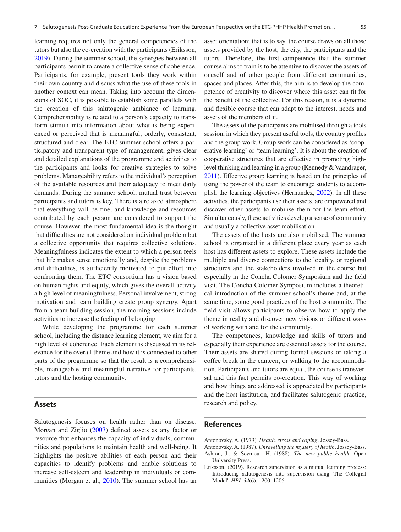learning requires not only the general competencies of the tutors but also the co-creation with the participants (Eriksson, [2019](#page-6-3)). During the summer school, the synergies between all participants permit to create a collective sense of coherence. Participants, for example, present tools they work within their own country and discuss what the use of these tools in another context can mean. Taking into account the dimensions of SOC, it is possible to establish some parallels with the creation of this salutogenic ambiance of learning. Comprehensibility is related to a person's capacity to transform stimuli into information about what is being experienced or perceived that is meaningful, orderly, consistent, structured and clear. The ETC summer school offers a participatory and transparent type of management, gives clear and detailed explanations of the programme and activities to the participants and looks for creative strategies to solve problems. Manageability refers to the individual's perception of the available resources and their adequacy to meet daily demands. During the summer school, mutual trust between participants and tutors is key. There is a relaxed atmosphere that everything will be fne, and knowledge and resources contributed by each person are considered to support the course. However, the most fundamental idea is the thought that diffculties are not considered an individual problem but a collective opportunity that requires collective solutions. Meaningfulness indicates the extent to which a person feels that life makes sense emotionally and, despite the problems and difficulties, is sufficiently motivated to put effort into confronting them. The ETC consortium has a vision based on human rights and equity, which gives the overall activity a high level of meaningfulness. Personal involvement, strong motivation and team building create group synergy. Apart from a team-building session, the morning sessions include activities to increase the feeling of belonging.

While developing the programme for each summer school, including the distance learning element, we aim for a high level of coherence. Each element is discussed in its relevance for the overall theme and how it is connected to other parts of the programme so that the result is a comprehensible, manageable and meaningful narrative for participants, tutors and the hosting community.

#### **Assets**

Salutogenesis focuses on health rather than on disease. Morgan and Ziglio [\(2007](#page-7-9)) defned assets as any factor or resource that enhances the capacity of individuals, communities and populations to maintain health and well-being. It highlights the positive abilities of each person and their capacities to identify problems and enable solutions to increase self-esteem and leadership in individuals or communities (Morgan et al., [2010\)](#page-7-10). The summer school has an asset orientation; that is to say, the course draws on all those assets provided by the host, the city, the participants and the tutors. Therefore, the frst competence that the summer course aims to train is to be attentive to discover the assets of oneself and of other people from different communities, spaces and places. After this, the aim is to develop the competence of creativity to discover where this asset can ft for the beneft of the collective. For this reason, it is a dynamic and fexible course that can adapt to the interest, needs and assets of the members of it.

The assets of the participants are mobilised through a tools session, in which they present useful tools, the country profles and the group work. Group work can be considered as 'cooperative learning' or 'team learning'. It is about the creation of cooperative structures that are effective in promoting highlevel thinking and learning in a group (Kennedy & Vaandrager, [2011\)](#page-7-11). Effective group learning is based on the principles of using the power of the team to encourage students to accomplish the learning objectives (Hernandez, [2002](#page-7-1)). In all these activities, the participants use their assets, are empowered and discover other assets to mobilise them for the team effort. Simultaneously, these activities develop a sense of community and usually a collective asset mobilisation.

The assets of the hosts are also mobilised. The summer school is organised in a different place every year as each host has different assets to explore. These assets include the multiple and diverse connections to the locality, or regional structures and the stakeholders involved in the course but especially in the Concha Colomer Symposium and the feld visit. The Concha Colomer Symposium includes a theoretical introduction of the summer school's theme and, at the same time, some good practices of the host community. The feld visit allows participants to observe how to apply the theme in reality and discover new visions or different ways of working with and for the community.

The competences, knowledge and skills of tutors and especially their experience are essential assets for the course. Their assets are shared during formal sessions or taking a coffee break in the canteen, or walking to the accommodation. Participants and tutors are equal, the course is transversal and this fact permits co-creation. This way of working and how things are addressed is appreciated by participants and the host institution, and facilitates salutogenic practice, research and policy.

#### **References**

<span id="page-6-1"></span>Antonovsky, A. (1979). *Health, stress and coping*. Jossey-Bass.

<span id="page-6-2"></span><span id="page-6-0"></span>Antonovsky, A. (1987). *Unravelling the mystery of health*. Jossey-Bass. Ashton, J., & Seymour, H. (1988). *The new public health*. Open

<span id="page-6-3"></span>University Press. Eriksson. (2019). Research supervision as a mutual learning process: Introducing salutogenesis into supervision using 'The Collegial Model'. *HPI, 34*(6), 1200–1206.